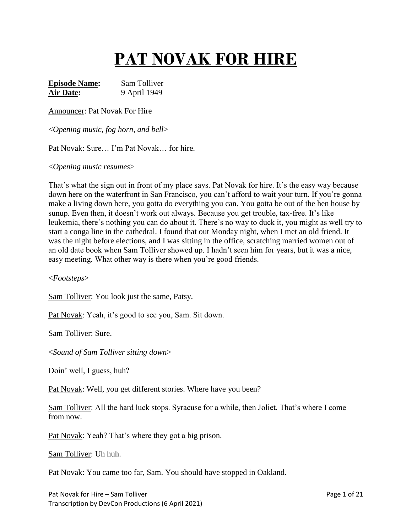# **PAT NOVAK FOR HIRE**

**Episode Name:** Sam Tolliver **Air Date:** 9 April 1949

Announcer: Pat Novak For Hire

<*Opening music, fog horn, and bell*>

Pat Novak: Sure… I'm Pat Novak… for hire.

<*Opening music resumes*>

That's what the sign out in front of my place says. Pat Novak for hire. It's the easy way because down here on the waterfront in San Francisco, you can't afford to wait your turn. If you're gonna make a living down here, you gotta do everything you can. You gotta be out of the hen house by sunup. Even then, it doesn't work out always. Because you get trouble, tax-free. It's like leukemia, there's nothing you can do about it. There's no way to duck it, you might as well try to start a conga line in the cathedral. I found that out Monday night, when I met an old friend. It was the night before elections, and I was sitting in the office, scratching married women out of an old date book when Sam Tolliver showed up. I hadn't seen him for years, but it was a nice, easy meeting. What other way is there when you're good friends.

<*Footsteps*>

Sam Tolliver: You look just the same, Patsy.

Pat Novak: Yeah, it's good to see you, Sam. Sit down.

Sam Tolliver: Sure.

<*Sound of Sam Tolliver sitting down*>

Doin' well, I guess, huh?

Pat Novak: Well, you get different stories. Where have you been?

Sam Tolliver: All the hard luck stops. Syracuse for a while, then Joliet. That's where I come from now.

Pat Novak: Yeah? That's where they got a big prison.

Sam Tolliver: Uh huh.

Pat Novak: You came too far, Sam. You should have stopped in Oakland.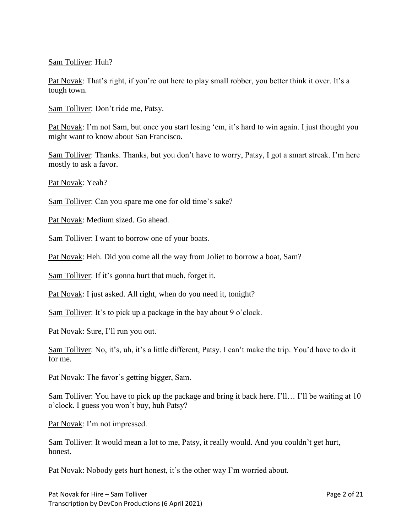## Sam Tolliver: Huh?

Pat Novak: That's right, if you're out here to play small robber, you better think it over. It's a tough town.

Sam Tolliver: Don't ride me, Patsy.

Pat Novak: I'm not Sam, but once you start losing 'em, it's hard to win again. I just thought you might want to know about San Francisco.

Sam Tolliver: Thanks. Thanks, but you don't have to worry, Patsy, I got a smart streak. I'm here mostly to ask a favor.

Pat Novak: Yeah?

Sam Tolliver: Can you spare me one for old time's sake?

Pat Novak: Medium sized. Go ahead.

Sam Tolliver: I want to borrow one of your boats.

Pat Novak: Heh. Did you come all the way from Joliet to borrow a boat, Sam?

Sam Tolliver: If it's gonna hurt that much, forget it.

Pat Novak: I just asked. All right, when do you need it, tonight?

Sam Tolliver: It's to pick up a package in the bay about 9 o'clock.

Pat Novak: Sure, I'll run you out.

Sam Tolliver: No, it's, uh, it's a little different, Patsy. I can't make the trip. You'd have to do it for me.

Pat Novak: The favor's getting bigger, Sam.

Sam Tolliver: You have to pick up the package and bring it back here. I'll… I'll be waiting at 10 o'clock. I guess you won't buy, huh Patsy?

Pat Novak: I'm not impressed.

Sam Tolliver: It would mean a lot to me, Patsy, it really would. And you couldn't get hurt, honest.

Pat Novak: Nobody gets hurt honest, it's the other way I'm worried about.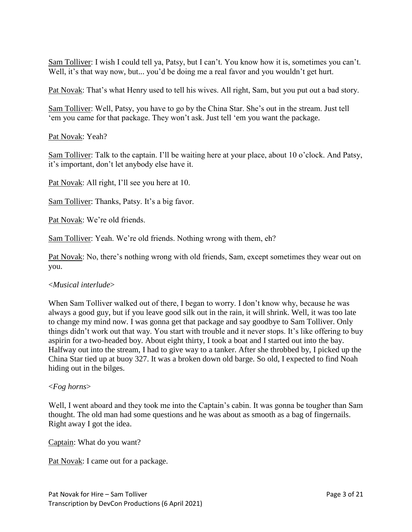Sam Tolliver: I wish I could tell ya, Patsy, but I can't. You know how it is, sometimes you can't. Well, it's that way now, but... you'd be doing me a real favor and you wouldn't get hurt.

Pat Novak: That's what Henry used to tell his wives. All right, Sam, but you put out a bad story.

Sam Tolliver: Well, Patsy, you have to go by the China Star. She's out in the stream. Just tell 'em you came for that package. They won't ask. Just tell 'em you want the package.

Pat Novak: Yeah?

Sam Tolliver: Talk to the captain. I'll be waiting here at your place, about 10 o'clock. And Patsy, it's important, don't let anybody else have it.

Pat Novak: All right, I'll see you here at 10.

Sam Tolliver: Thanks, Patsy. It's a big favor.

Pat Novak: We're old friends.

Sam Tolliver: Yeah. We're old friends. Nothing wrong with them, eh?

Pat Novak: No, there's nothing wrong with old friends, Sam, except sometimes they wear out on you.

## <*Musical interlude*>

When Sam Tolliver walked out of there, I began to worry. I don't know why, because he was always a good guy, but if you leave good silk out in the rain, it will shrink. Well, it was too late to change my mind now. I was gonna get that package and say goodbye to Sam Tolliver. Only things didn't work out that way. You start with trouble and it never stops. It's like offering to buy aspirin for a two-headed boy. About eight thirty, I took a boat and I started out into the bay. Halfway out into the stream, I had to give way to a tanker. After she throbbed by, I picked up the China Star tied up at buoy 327. It was a broken down old barge. So old, I expected to find Noah hiding out in the bilges.

## <*Fog horns*>

Well, I went aboard and they took me into the Captain's cabin. It was gonna be tougher than Sam thought. The old man had some questions and he was about as smooth as a bag of fingernails. Right away I got the idea.

Captain: What do you want?

Pat Novak: I came out for a package.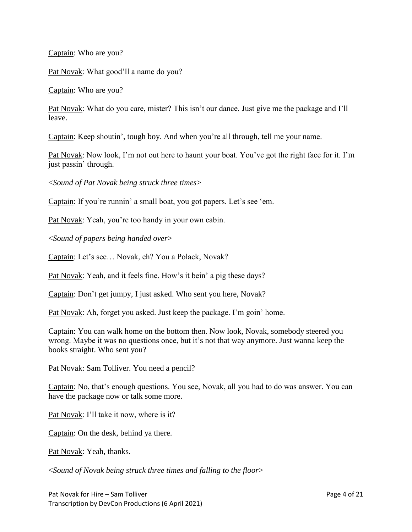Captain: Who are you?

Pat Novak: What good'll a name do you?

Captain: Who are you?

Pat Novak: What do you care, mister? This isn't our dance. Just give me the package and I'll leave.

Captain: Keep shoutin', tough boy. And when you're all through, tell me your name.

Pat Novak: Now look, I'm not out here to haunt your boat. You've got the right face for it. I'm just passin' through.

<*Sound of Pat Novak being struck three times*>

Captain: If you're runnin' a small boat, you got papers. Let's see 'em.

Pat Novak: Yeah, you're too handy in your own cabin.

<*Sound of papers being handed over*>

Captain: Let's see… Novak, eh? You a Polack, Novak?

Pat Novak: Yeah, and it feels fine. How's it bein' a pig these days?

Captain: Don't get jumpy, I just asked. Who sent you here, Novak?

Pat Novak: Ah, forget you asked. Just keep the package. I'm goin' home.

Captain: You can walk home on the bottom then. Now look, Novak, somebody steered you wrong. Maybe it was no questions once, but it's not that way anymore. Just wanna keep the books straight. Who sent you?

Pat Novak: Sam Tolliver. You need a pencil?

Captain: No, that's enough questions. You see, Novak, all you had to do was answer. You can have the package now or talk some more.

Pat Novak: I'll take it now, where is it?

Captain: On the desk, behind ya there.

Pat Novak: Yeah, thanks.

<*Sound of Novak being struck three times and falling to the floor*>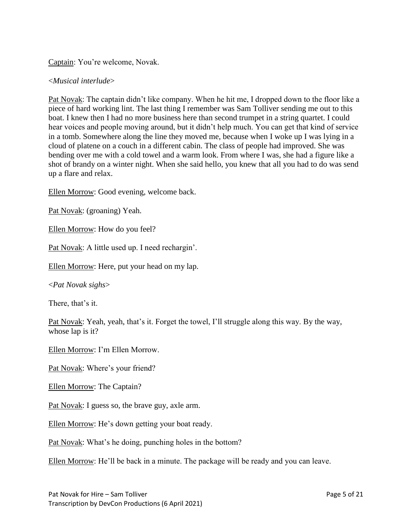Captain: You're welcome, Novak.

## <*Musical interlude*>

Pat Novak: The captain didn't like company. When he hit me, I dropped down to the floor like a piece of hard working lint. The last thing I remember was Sam Tolliver sending me out to this boat. I knew then I had no more business here than second trumpet in a string quartet. I could hear voices and people moving around, but it didn't help much. You can get that kind of service in a tomb. Somewhere along the line they moved me, because when I woke up I was lying in a cloud of platene on a couch in a different cabin. The class of people had improved. She was bending over me with a cold towel and a warm look. From where I was, she had a figure like a shot of brandy on a winter night. When she said hello, you knew that all you had to do was send up a flare and relax.

Ellen Morrow: Good evening, welcome back.

Pat Novak: (groaning) Yeah.

Ellen Morrow: How do you feel?

Pat Novak: A little used up. I need rechargin'.

Ellen Morrow: Here, put your head on my lap.

<*Pat Novak sighs*>

There, that's it.

Pat Novak: Yeah, yeah, that's it. Forget the towel, I'll struggle along this way. By the way, whose lap is it?

Ellen Morrow: I'm Ellen Morrow.

Pat Novak: Where's your friend?

Ellen Morrow: The Captain?

Pat Novak: I guess so, the brave guy, axle arm.

Ellen Morrow: He's down getting your boat ready.

Pat Novak: What's he doing, punching holes in the bottom?

Ellen Morrow: He'll be back in a minute. The package will be ready and you can leave.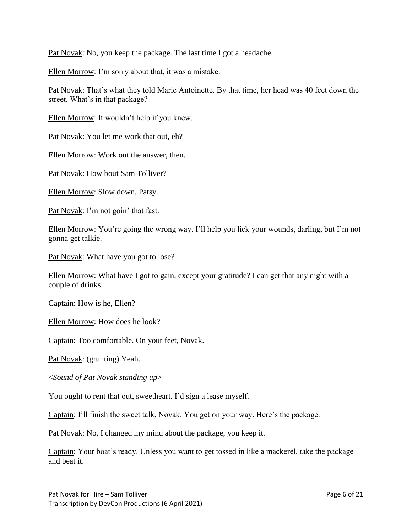Pat Novak: No, you keep the package. The last time I got a headache.

Ellen Morrow: I'm sorry about that, it was a mistake.

Pat Novak: That's what they told Marie Antoinette. By that time, her head was 40 feet down the street. What's in that package?

Ellen Morrow: It wouldn't help if you knew.

Pat Novak: You let me work that out, eh?

Ellen Morrow: Work out the answer, then.

Pat Novak: How bout Sam Tolliver?

Ellen Morrow: Slow down, Patsy.

Pat Novak: I'm not goin' that fast.

Ellen Morrow: You're going the wrong way. I'll help you lick your wounds, darling, but I'm not gonna get talkie.

Pat Novak: What have you got to lose?

Ellen Morrow: What have I got to gain, except your gratitude? I can get that any night with a couple of drinks.

Captain: How is he, Ellen?

Ellen Morrow: How does he look?

Captain: Too comfortable. On your feet, Novak.

Pat Novak: (grunting) Yeah.

<*Sound of Pat Novak standing up*>

You ought to rent that out, sweetheart. I'd sign a lease myself.

Captain: I'll finish the sweet talk, Novak. You get on your way. Here's the package.

Pat Novak: No, I changed my mind about the package, you keep it.

Captain: Your boat's ready. Unless you want to get tossed in like a mackerel, take the package and beat it.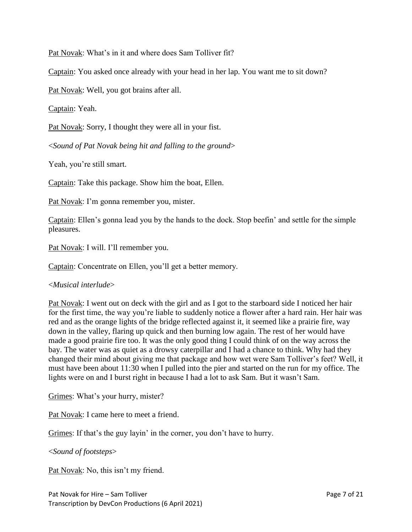Pat Novak: What's in it and where does Sam Tolliver fit?

Captain: You asked once already with your head in her lap. You want me to sit down?

Pat Novak: Well, you got brains after all.

Captain: Yeah.

Pat Novak: Sorry, I thought they were all in your fist.

<*Sound of Pat Novak being hit and falling to the ground*>

Yeah, you're still smart.

Captain: Take this package. Show him the boat, Ellen.

Pat Novak: I'm gonna remember you, mister.

Captain: Ellen's gonna lead you by the hands to the dock. Stop beefin' and settle for the simple pleasures.

Pat Novak: I will. I'll remember you.

Captain: Concentrate on Ellen, you'll get a better memory.

## <*Musical interlude*>

Pat Novak: I went out on deck with the girl and as I got to the starboard side I noticed her hair for the first time, the way you're liable to suddenly notice a flower after a hard rain. Her hair was red and as the orange lights of the bridge reflected against it, it seemed like a prairie fire, way down in the valley, flaring up quick and then burning low again. The rest of her would have made a good prairie fire too. It was the only good thing I could think of on the way across the bay. The water was as quiet as a drowsy caterpillar and I had a chance to think. Why had they changed their mind about giving me that package and how wet were Sam Tolliver's feet? Well, it must have been about 11:30 when I pulled into the pier and started on the run for my office. The lights were on and I burst right in because I had a lot to ask Sam. But it wasn't Sam.

Grimes: What's your hurry, mister?

Pat Novak: I came here to meet a friend.

Grimes: If that's the guy layin' in the corner, you don't have to hurry.

<*Sound of footsteps*>

Pat Novak: No, this isn't my friend.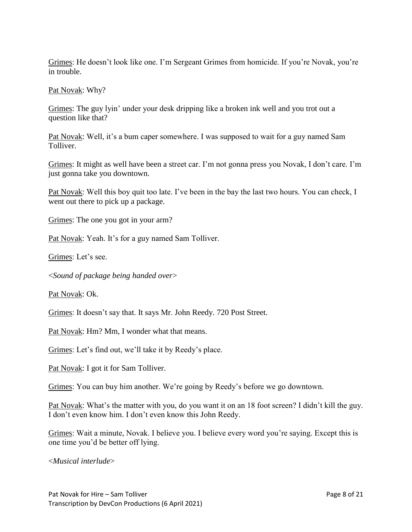Grimes: He doesn't look like one. I'm Sergeant Grimes from homicide. If you're Novak, you're in trouble.

Pat Novak: Why?

Grimes: The guy lyin' under your desk dripping like a broken ink well and you trot out a question like that?

Pat Novak: Well, it's a bum caper somewhere. I was supposed to wait for a guy named Sam Tolliver.

Grimes: It might as well have been a street car. I'm not gonna press you Novak, I don't care. I'm just gonna take you downtown.

Pat Novak: Well this boy quit too late. I've been in the bay the last two hours. You can check, I went out there to pick up a package.

Grimes: The one you got in your arm?

Pat Novak: Yeah. It's for a guy named Sam Tolliver.

Grimes: Let's see.

<*Sound of package being handed over*>

Pat Novak: Ok.

Grimes: It doesn't say that. It says Mr. John Reedy. 720 Post Street.

Pat Novak: Hm? Mm, I wonder what that means.

Grimes: Let's find out, we'll take it by Reedy's place.

Pat Novak: I got it for Sam Tolliver.

Grimes: You can buy him another. We're going by Reedy's before we go downtown.

Pat Novak: What's the matter with you, do you want it on an 18 foot screen? I didn't kill the guy. I don't even know him. I don't even know this John Reedy.

Grimes: Wait a minute, Novak. I believe you. I believe every word you're saying. Except this is one time you'd be better off lying.

<*Musical interlude*>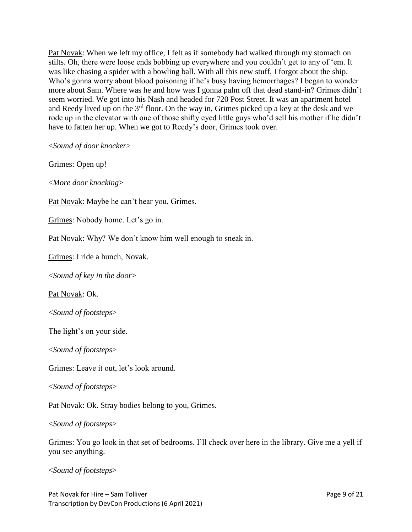Pat Novak: When we left my office, I felt as if somebody had walked through my stomach on stilts. Oh, there were loose ends bobbing up everywhere and you couldn't get to any of 'em. It was like chasing a spider with a bowling ball. With all this new stuff, I forgot about the ship. Who's gonna worry about blood poisoning if he's busy having hemorrhages? I began to wonder more about Sam. Where was he and how was I gonna palm off that dead stand-in? Grimes didn't seem worried. We got into his Nash and headed for 720 Post Street. It was an apartment hotel and Reedy lived up on the  $3<sup>rd</sup>$  floor. On the way in, Grimes picked up a key at the desk and we rode up in the elevator with one of those shifty eyed little guys who'd sell his mother if he didn't have to fatten her up. When we got to Reedy's door, Grimes took over.

<*Sound of door knocker*>

Grimes: Open up!

<*More door knocking*>

Pat Novak: Maybe he can't hear you, Grimes.

Grimes: Nobody home. Let's go in.

Pat Novak: Why? We don't know him well enough to sneak in.

Grimes: I ride a hunch, Novak.

<*Sound of key in the door*>

Pat Novak: Ok.

<*Sound of footsteps*>

The light's on your side.

<*Sound of footsteps*>

Grimes: Leave it out, let's look around.

<*Sound of footsteps*>

Pat Novak: Ok. Stray bodies belong to you, Grimes.

<*Sound of footsteps*>

Grimes: You go look in that set of bedrooms. I'll check over here in the library. Give me a yell if you see anything.

<*Sound of footsteps*>

Pat Novak for Hire – Sam Tolliver Page 9 of 21 Transcription by DevCon Productions (6 April 2021)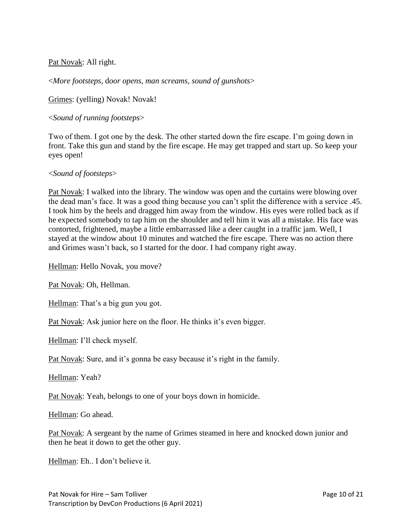Pat Novak: All right.

<*More footsteps*, d*oor opens, man screams, sound of gunshots*>

Grimes: (yelling) Novak! Novak!

## <*Sound of running footsteps*>

Two of them. I got one by the desk. The other started down the fire escape. I'm going down in front. Take this gun and stand by the fire escape. He may get trapped and start up. So keep your eyes open!

## <*Sound of footsteps*>

Pat Novak: I walked into the library. The window was open and the curtains were blowing over the dead man's face. It was a good thing because you can't split the difference with a service .45. I took him by the heels and dragged him away from the window. His eyes were rolled back as if he expected somebody to tap him on the shoulder and tell him it was all a mistake. His face was contorted, frightened, maybe a little embarrassed like a deer caught in a traffic jam. Well, I stayed at the window about 10 minutes and watched the fire escape. There was no action there and Grimes wasn't back, so I started for the door. I had company right away.

Hellman: Hello Novak, you move?

Pat Novak: Oh, Hellman.

Hellman: That's a big gun you got.

Pat Novak: Ask junior here on the floor. He thinks it's even bigger.

Hellman: I'll check myself.

Pat Novak: Sure, and it's gonna be easy because it's right in the family.

Hellman: Yeah?

Pat Novak: Yeah, belongs to one of your boys down in homicide.

Hellman: Go ahead.

Pat Novak: A sergeant by the name of Grimes steamed in here and knocked down junior and then he beat it down to get the other guy.

Hellman: Eh.. I don't believe it.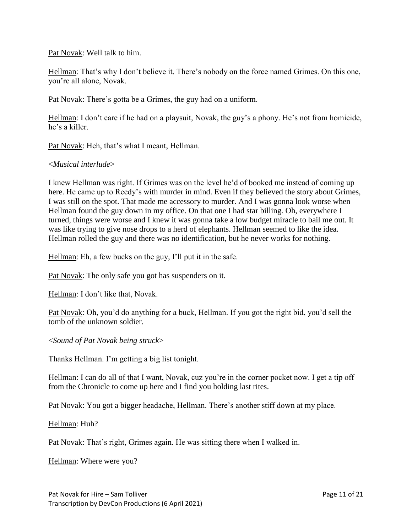Pat Novak: Well talk to him.

Hellman: That's why I don't believe it. There's nobody on the force named Grimes. On this one, you're all alone, Novak.

Pat Novak: There's gotta be a Grimes, the guy had on a uniform.

Hellman: I don't care if he had on a playsuit, Novak, the guy's a phony. He's not from homicide, he's a killer.

Pat Novak: Heh, that's what I meant, Hellman.

#### <*Musical interlude*>

I knew Hellman was right. If Grimes was on the level he'd of booked me instead of coming up here. He came up to Reedy's with murder in mind. Even if they believed the story about Grimes, I was still on the spot. That made me accessory to murder. And I was gonna look worse when Hellman found the guy down in my office. On that one I had star billing. Oh, everywhere I turned, things were worse and I knew it was gonna take a low budget miracle to bail me out. It was like trying to give nose drops to a herd of elephants. Hellman seemed to like the idea. Hellman rolled the guy and there was no identification, but he never works for nothing.

Hellman: Eh, a few bucks on the guy, I'll put it in the safe.

Pat Novak: The only safe you got has suspenders on it.

Hellman: I don't like that, Novak.

Pat Novak: Oh, you'd do anything for a buck, Hellman. If you got the right bid, you'd sell the tomb of the unknown soldier.

<*Sound of Pat Novak being struck*>

Thanks Hellman. I'm getting a big list tonight.

Hellman: I can do all of that I want, Novak, cuz you're in the corner pocket now. I get a tip off from the Chronicle to come up here and I find you holding last rites.

Pat Novak: You got a bigger headache, Hellman. There's another stiff down at my place.

Hellman: Huh?

Pat Novak: That's right, Grimes again. He was sitting there when I walked in.

Hellman: Where were you?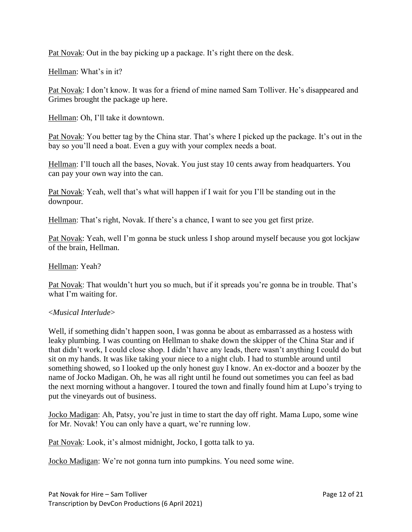Pat Novak: Out in the bay picking up a package. It's right there on the desk.

Hellman: What's in it?

Pat Novak: I don't know. It was for a friend of mine named Sam Tolliver. He's disappeared and Grimes brought the package up here.

Hellman: Oh, I'll take it downtown.

Pat Novak: You better tag by the China star. That's where I picked up the package. It's out in the bay so you'll need a boat. Even a guy with your complex needs a boat.

Hellman: I'll touch all the bases, Novak. You just stay 10 cents away from headquarters. You can pay your own way into the can.

Pat Novak: Yeah, well that's what will happen if I wait for you I'll be standing out in the downpour.

Hellman: That's right, Novak. If there's a chance, I want to see you get first prize.

Pat Novak: Yeah, well I'm gonna be stuck unless I shop around myself because you got lockjaw of the brain, Hellman.

Hellman: Yeah?

Pat Novak: That wouldn't hurt you so much, but if it spreads you're gonna be in trouble. That's what I'm waiting for.

#### <*Musical Interlude*>

Well, if something didn't happen soon, I was gonna be about as embarrassed as a hostess with leaky plumbing. I was counting on Hellman to shake down the skipper of the China Star and if that didn't work, I could close shop. I didn't have any leads, there wasn't anything I could do but sit on my hands. It was like taking your niece to a night club. I had to stumble around until something showed, so I looked up the only honest guy I know. An ex-doctor and a boozer by the name of Jocko Madigan. Oh, he was all right until he found out sometimes you can feel as bad the next morning without a hangover. I toured the town and finally found him at Lupo's trying to put the vineyards out of business.

Jocko Madigan: Ah, Patsy, you're just in time to start the day off right. Mama Lupo, some wine for Mr. Novak! You can only have a quart, we're running low.

Pat Novak: Look, it's almost midnight, Jocko, I gotta talk to ya.

Jocko Madigan: We're not gonna turn into pumpkins. You need some wine.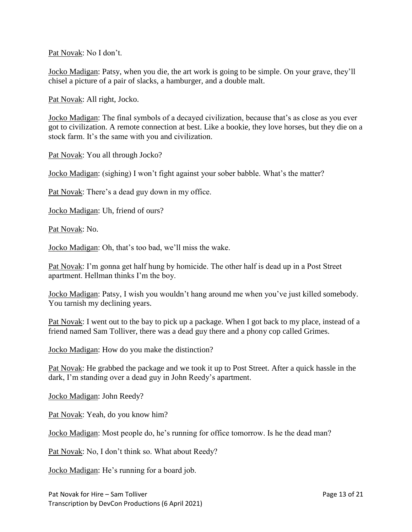Pat Novak: No I don't.

Jocko Madigan: Patsy, when you die, the art work is going to be simple. On your grave, they'll chisel a picture of a pair of slacks, a hamburger, and a double malt.

Pat Novak: All right, Jocko.

Jocko Madigan: The final symbols of a decayed civilization, because that's as close as you ever got to civilization. A remote connection at best. Like a bookie, they love horses, but they die on a stock farm. It's the same with you and civilization.

Pat Novak: You all through Jocko?

Jocko Madigan: (sighing) I won't fight against your sober babble. What's the matter?

Pat Novak: There's a dead guy down in my office.

Jocko Madigan: Uh, friend of ours?

Pat Novak: No.

Jocko Madigan: Oh, that's too bad, we'll miss the wake.

Pat Novak: I'm gonna get half hung by homicide. The other half is dead up in a Post Street apartment. Hellman thinks I'm the boy.

Jocko Madigan: Patsy, I wish you wouldn't hang around me when you've just killed somebody. You tarnish my declining years.

Pat Novak: I went out to the bay to pick up a package. When I got back to my place, instead of a friend named Sam Tolliver, there was a dead guy there and a phony cop called Grimes.

Jocko Madigan: How do you make the distinction?

Pat Novak: He grabbed the package and we took it up to Post Street. After a quick hassle in the dark, I'm standing over a dead guy in John Reedy's apartment.

Jocko Madigan: John Reedy?

Pat Novak: Yeah, do you know him?

Jocko Madigan: Most people do, he's running for office tomorrow. Is he the dead man?

Pat Novak: No, I don't think so. What about Reedy?

Jocko Madigan: He's running for a board job.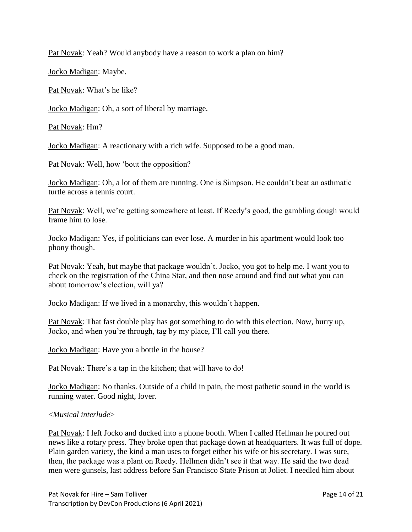Pat Novak: Yeah? Would anybody have a reason to work a plan on him?

Jocko Madigan: Maybe.

Pat Novak: What's he like?

Jocko Madigan: Oh, a sort of liberal by marriage.

Pat Novak: Hm?

Jocko Madigan: A reactionary with a rich wife. Supposed to be a good man.

Pat Novak: Well, how 'bout the opposition?

Jocko Madigan: Oh, a lot of them are running. One is Simpson. He couldn't beat an asthmatic turtle across a tennis court.

Pat Novak: Well, we're getting somewhere at least. If Reedy's good, the gambling dough would frame him to lose.

Jocko Madigan: Yes, if politicians can ever lose. A murder in his apartment would look too phony though.

Pat Novak: Yeah, but maybe that package wouldn't. Jocko, you got to help me. I want you to check on the registration of the China Star, and then nose around and find out what you can about tomorrow's election, will ya?

Jocko Madigan: If we lived in a monarchy, this wouldn't happen.

Pat Novak: That fast double play has got something to do with this election. Now, hurry up, Jocko, and when you're through, tag by my place, I'll call you there.

Jocko Madigan: Have you a bottle in the house?

Pat Novak: There's a tap in the kitchen; that will have to do!

Jocko Madigan: No thanks. Outside of a child in pain, the most pathetic sound in the world is running water. Good night, lover.

## <*Musical interlude*>

Pat Novak: I left Jocko and ducked into a phone booth. When I called Hellman he poured out news like a rotary press. They broke open that package down at headquarters. It was full of dope. Plain garden variety, the kind a man uses to forget either his wife or his secretary. I was sure, then, the package was a plant on Reedy. Hellmen didn't see it that way. He said the two dead men were gunsels, last address before San Francisco State Prison at Joliet. I needled him about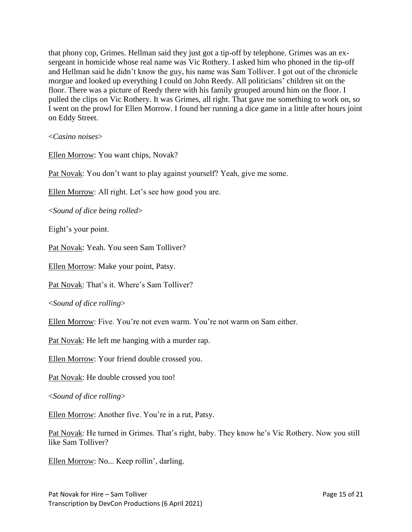that phony cop, Grimes. Hellman said they just got a tip-off by telephone. Grimes was an exsergeant in homicide whose real name was Vic Rothery. I asked him who phoned in the tip-off and Hellman said he didn't know the guy, his name was Sam Tolliver. I got out of the chronicle morgue and looked up everything I could on John Reedy. All politicians' children sit on the floor. There was a picture of Reedy there with his family grouped around him on the floor. I pulled the clips on Vic Rothery. It was Grimes, all right. That gave me something to work on, so I went on the prowl for Ellen Morrow. I found her running a dice game in a little after hours joint on Eddy Street.

<*Casino noises*>

Ellen Morrow: You want chips, Novak?

Pat Novak: You don't want to play against yourself? Yeah, give me some.

Ellen Morrow: All right. Let's see how good you are.

<*Sound of dice being rolled*>

Eight's your point.

Pat Novak: Yeah. You seen Sam Tolliver?

Ellen Morrow: Make your point, Patsy.

Pat Novak: That's it. Where's Sam Tolliver?

<*Sound of dice rolling*>

Ellen Morrow: Five. You're not even warm. You're not warm on Sam either.

Pat Novak: He left me hanging with a murder rap.

Ellen Morrow: Your friend double crossed you.

Pat Novak: He double crossed you too!

<*Sound of dice rolling*>

Ellen Morrow: Another five. You're in a rut, Patsy.

Pat Novak: He turned in Grimes. That's right, baby. They know he's Vic Rothery. Now you still like Sam Tolliver?

Ellen Morrow: No... Keep rollin', darling.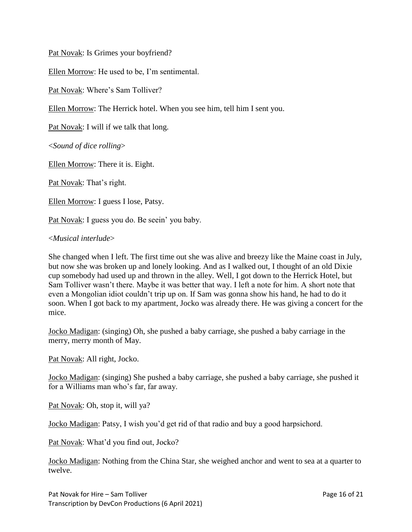Pat Novak: Is Grimes your boyfriend?

Ellen Morrow: He used to be, I'm sentimental.

Pat Novak: Where's Sam Tolliver?

Ellen Morrow: The Herrick hotel. When you see him, tell him I sent you.

Pat Novak: I will if we talk that long.

<*Sound of dice rolling*>

Ellen Morrow: There it is. Eight.

Pat Novak: That's right.

Ellen Morrow: I guess I lose, Patsy.

Pat Novak: I guess you do. Be seein' you baby.

#### <*Musical interlude*>

She changed when I left. The first time out she was alive and breezy like the Maine coast in July, but now she was broken up and lonely looking. And as I walked out, I thought of an old Dixie cup somebody had used up and thrown in the alley. Well, I got down to the Herrick Hotel, but Sam Tolliver wasn't there. Maybe it was better that way. I left a note for him. A short note that even a Mongolian idiot couldn't trip up on. If Sam was gonna show his hand, he had to do it soon. When I got back to my apartment, Jocko was already there. He was giving a concert for the mice.

Jocko Madigan: (singing) Oh, she pushed a baby carriage, she pushed a baby carriage in the merry, merry month of May.

Pat Novak: All right, Jocko.

Jocko Madigan: (singing) She pushed a baby carriage, she pushed a baby carriage, she pushed it for a Williams man who's far, far away.

Pat Novak: Oh, stop it, will ya?

Jocko Madigan: Patsy, I wish you'd get rid of that radio and buy a good harpsichord.

Pat Novak: What'd you find out, Jocko?

Jocko Madigan: Nothing from the China Star, she weighed anchor and went to sea at a quarter to twelve.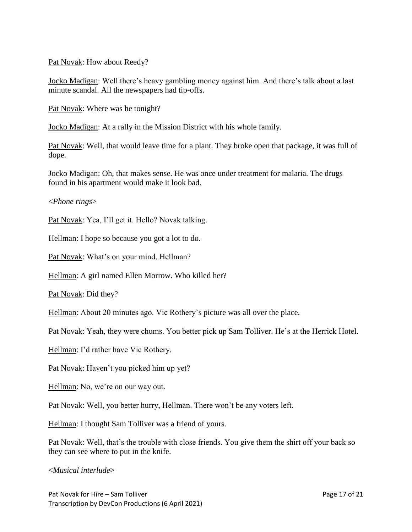Pat Novak: How about Reedy?

Jocko Madigan: Well there's heavy gambling money against him. And there's talk about a last minute scandal. All the newspapers had tip-offs.

Pat Novak: Where was he tonight?

Jocko Madigan: At a rally in the Mission District with his whole family.

Pat Novak: Well, that would leave time for a plant. They broke open that package, it was full of dope.

Jocko Madigan: Oh, that makes sense. He was once under treatment for malaria. The drugs found in his apartment would make it look bad.

<*Phone rings*>

Pat Novak: Yea, I'll get it. Hello? Novak talking.

Hellman: I hope so because you got a lot to do.

Pat Novak: What's on your mind, Hellman?

Hellman: A girl named Ellen Morrow. Who killed her?

Pat Novak: Did they?

Hellman: About 20 minutes ago. Vic Rothery's picture was all over the place.

Pat Novak: Yeah, they were chums. You better pick up Sam Tolliver. He's at the Herrick Hotel.

Hellman: I'd rather have Vic Rothery.

Pat Novak: Haven't you picked him up yet?

Hellman: No, we're on our way out.

Pat Novak: Well, you better hurry, Hellman. There won't be any voters left.

Hellman: I thought Sam Tolliver was a friend of yours.

Pat Novak: Well, that's the trouble with close friends. You give them the shirt off your back so they can see where to put in the knife.

<*Musical interlude*>

Pat Novak for Hire – Sam Tolliver Page 17 of 21 Transcription by DevCon Productions (6 April 2021)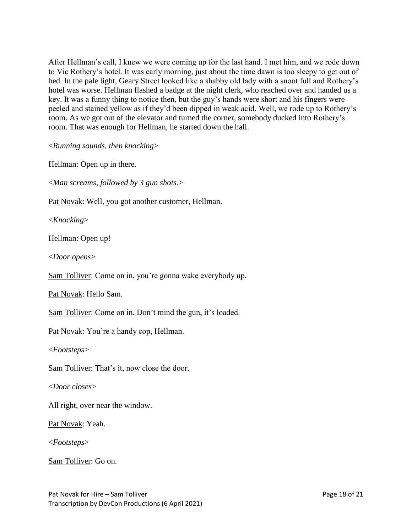After Hellman's call, I knew we were coming up for the last hand. I met him, and we rode down to Vic Rothery's hotel. It was early morning, just about the time dawn is too sleepy to get out of bed. In the pale light, Geary Street looked like a shabby old lady with a snoot full and Rothery's hotel was worse. Hellman flashed a badge at the night clerk, who reached over and handed us a key. It was a funny thing to notice then, but the guy's hands were short and his fingers were peeled and stained yellow as if they'd been dipped in weak acid. Well, we rode up to Rothery's room. As we got out of the elevator and turned the corner, somebody ducked into Rothery's room. That was enough for Hellman, he started down the hall.

<*Running sounds, then knocking*>

Hellman: Open up in there.

<*Man screams, followed by 3 gun shots.*>

Pat Novak: Well, you got another customer, Hellman.

<*Knocking*>

Hellman: Open up!

<*Door opens*>

Sam Tolliver: Come on in, you're gonna wake everybody up.

Pat Novak: Hello Sam.

Sam Tolliver: Come on in. Don't mind the gun, it's loaded.

Pat Novak: You're a handy cop, Hellman.

<*Footsteps*>

Sam Tolliver: That's it, now close the door.

<*Door closes*>

All right, over near the window.

Pat Novak: Yeah.

<*Footsteps*>

Sam Tolliver: Go on.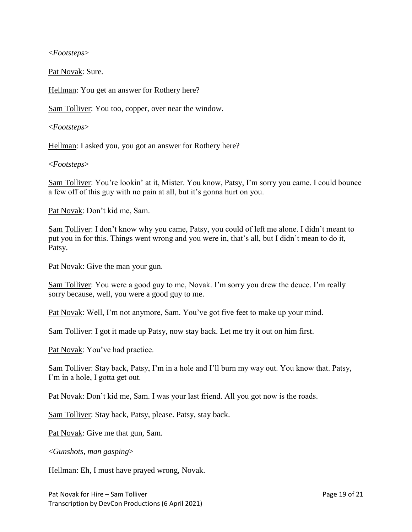<*Footsteps*>

Pat Novak: Sure.

Hellman: You get an answer for Rothery here?

Sam Tolliver: You too, copper, over near the window.

<*Footsteps*>

Hellman: I asked you, you got an answer for Rothery here?

<*Footsteps*>

Sam Tolliver: You're lookin' at it, Mister. You know, Patsy, I'm sorry you came. I could bounce a few off of this guy with no pain at all, but it's gonna hurt on you.

Pat Novak: Don't kid me, Sam.

Sam Tolliver: I don't know why you came, Patsy, you could of left me alone. I didn't meant to put you in for this. Things went wrong and you were in, that's all, but I didn't mean to do it, Patsy.

Pat Novak: Give the man your gun.

Sam Tolliver: You were a good guy to me, Novak. I'm sorry you drew the deuce. I'm really sorry because, well, you were a good guy to me.

Pat Novak: Well, I'm not anymore, Sam. You've got five feet to make up your mind.

Sam Tolliver: I got it made up Patsy, now stay back. Let me try it out on him first.

Pat Novak: You've had practice.

Sam Tolliver: Stay back, Patsy, I'm in a hole and I'll burn my way out. You know that. Patsy, I'm in a hole, I gotta get out.

Pat Novak: Don't kid me, Sam. I was your last friend. All you got now is the roads.

Sam Tolliver: Stay back, Patsy, please. Patsy, stay back.

Pat Novak: Give me that gun, Sam.

<*Gunshots, man gasping*>

Hellman: Eh, I must have prayed wrong, Novak.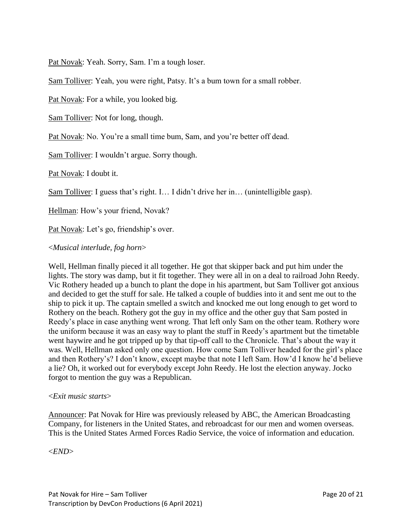Pat Novak: Yeah. Sorry, Sam. I'm a tough loser.

Sam Tolliver: Yeah, you were right, Patsy. It's a bum town for a small robber.

Pat Novak: For a while, you looked big.

Sam Tolliver: Not for long, though.

Pat Novak: No. You're a small time bum, Sam, and you're better off dead.

Sam Tolliver: I wouldn't argue. Sorry though.

Pat Novak: I doubt it.

Sam Tolliver: I guess that's right. I… I didn't drive her in… (unintelligible gasp).

Hellman: How's your friend, Novak?

Pat Novak: Let's go, friendship's over.

## <*Musical interlude, fog horn*>

Well, Hellman finally pieced it all together. He got that skipper back and put him under the lights. The story was damp, but it fit together. They were all in on a deal to railroad John Reedy. Vic Rothery headed up a bunch to plant the dope in his apartment, but Sam Tolliver got anxious and decided to get the stuff for sale. He talked a couple of buddies into it and sent me out to the ship to pick it up. The captain smelled a switch and knocked me out long enough to get word to Rothery on the beach. Rothery got the guy in my office and the other guy that Sam posted in Reedy's place in case anything went wrong. That left only Sam on the other team. Rothery wore the uniform because it was an easy way to plant the stuff in Reedy's apartment but the timetable went haywire and he got tripped up by that tip-off call to the Chronicle. That's about the way it was. Well, Hellman asked only one question. How come Sam Tolliver headed for the girl's place and then Rothery's? I don't know, except maybe that note I left Sam. How'd I know he'd believe a lie? Oh, it worked out for everybody except John Reedy. He lost the election anyway. Jocko forgot to mention the guy was a Republican.

#### <*Exit music starts*>

Announcer: Pat Novak for Hire was previously released by ABC, the American Broadcasting Company, for listeners in the United States, and rebroadcast for our men and women overseas. This is the United States Armed Forces Radio Service, the voice of information and education.

<*END*>